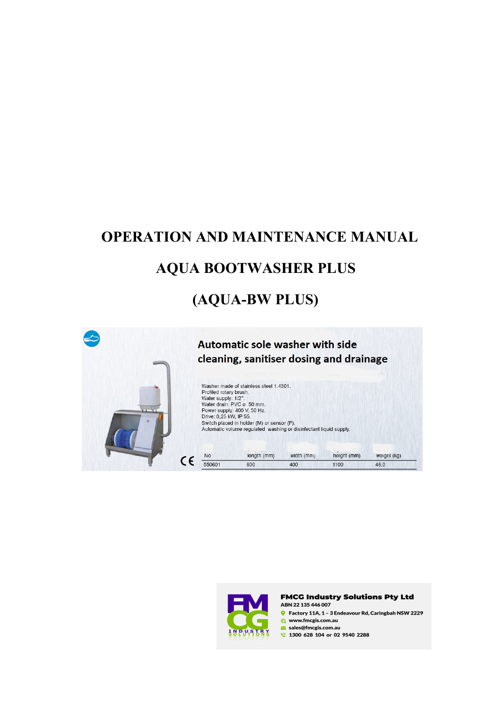# **OPERATION AND MAINTENANCE MANUAL AQUA BOOTWASHER PLUS (AQUA-BW PLUS)**





#### **FMCG Industry Solutions Pty Ltd** ABN 22 135 446 007

G Factory 11A, 1 - 3 Endeavour Rd, Caringbah NSW 2229 www.fmcgis.com.au

sales@fmcgis.com.au

1300 628 104 or 02 9540 2288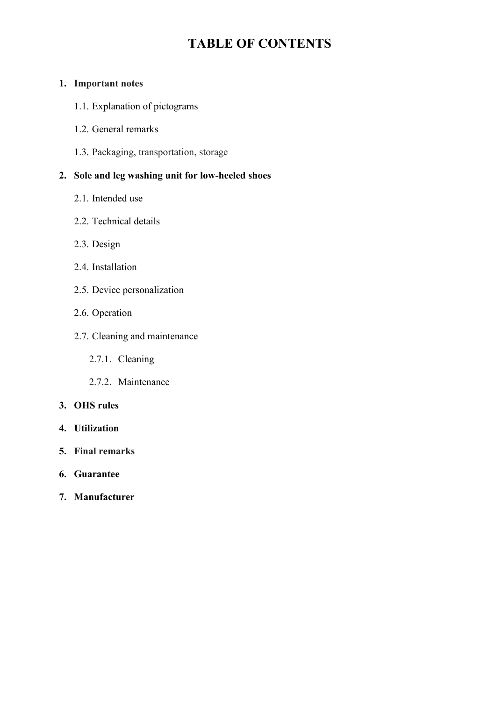# **TABLE OF CONTENTS**

### **1. Important notes**

- 1.1. Explanation of pictograms
- 1.2. General remarks
- 1.3. Packaging, transportation, storage

# **2. Sole and leg washing unit for low-heeled shoes**

- 2.1. Intended use
- 2.2. Technical details
- 2.3. Design
- 2.4. Installation
- 2.5. Device personalization
- 2.6. Operation
- 2.7. Cleaning and maintenance
	- 2.7.1. Cleaning
	- 2.7.2. Maintenance

### **3. OHS rules**

- **4. Utilization**
- **5. Final remarks**
- **6. Guarantee**
- **7. Manufacturer**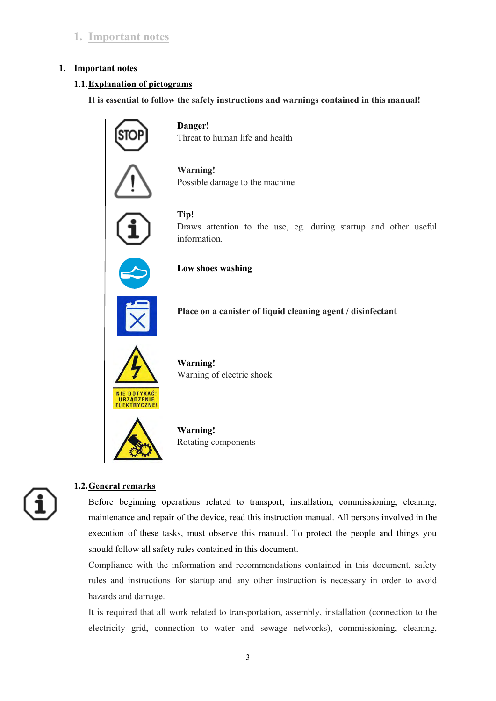## **1. Important notes**

### **1. Important notes**

### **1.1.Explanation of pictograms**

**It is essential to follow the safety instructions and warnings contained in this manual!**



**Danger!**  Threat to human life and health



**Warning!** Possible damage to the machine



**Tip!**  Draws attention to the use, eg. during startup and other useful information.



**Low shoes washing** 



 **Place on a canister of liquid cleaning agent / disinfectant**



 **Warning!** Warning of electric shock



 **Warning!** Rotating components

### **1.2.General remarks**

Before beginning operations related to transport, installation, commissioning, cleaning, maintenance and repair of the device, read this instruction manual. All persons involved in the execution of these tasks, must observe this manual. To protect the people and things you should follow all safety rules contained in this document.

Compliance with the information and recommendations contained in this document, safety rules and instructions for startup and any other instruction is necessary in order to avoid hazards and damage.

It is required that all work related to transportation, assembly, installation (connection to the electricity grid, connection to water and sewage networks), commissioning, cleaning,

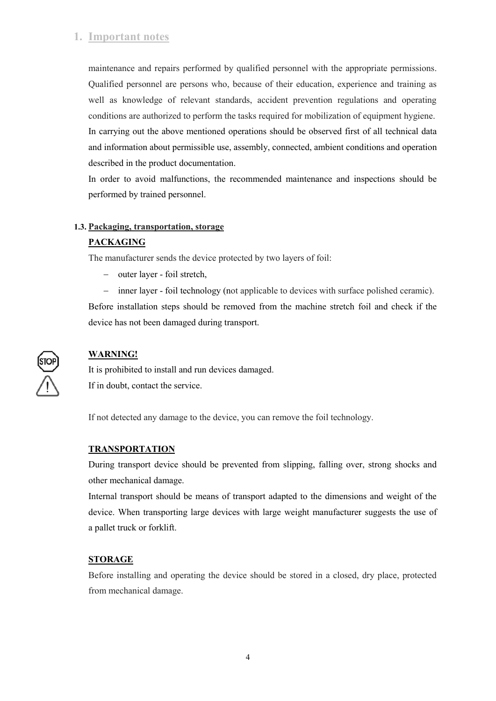## **1. Important notes**

maintenance and repairs performed by qualified personnel with the appropriate permissions. Qualified personnel are persons who, because of their education, experience and training as well as knowledge of relevant standards, accident prevention regulations and operating conditions are authorized to perform the tasks required for mobilization of equipment hygiene. In carrying out the above mentioned operations should be observed first of all technical data and information about permissible use, assembly, connected, ambient conditions and operation described in the product documentation.

In order to avoid malfunctions, the recommended maintenance and inspections should be performed by trained personnel.

### **1.3. Packaging, transportation, storage**

### **PACKAGING**

The manufacturer sends the device protected by two layers of foil:

- outer layer foil stretch,
- inner layer foil technology (not applicable to devices with surface polished ceramic).

Before installation steps should be removed from the machine stretch foil and check if the device has not been damaged during transport.



### **WARNING!**

It is prohibited to install and run devices damaged. If in doubt, contact the service.

If not detected any damage to the device, you can remove the foil technology.

### **TRANSPORTATION**

During transport device should be prevented from slipping, falling over, strong shocks and other mechanical damage.

Internal transport should be means of transport adapted to the dimensions and weight of the device. When transporting large devices with large weight manufacturer suggests the use of a pallet truck or forklift.

### **STORAGE**

Before installing and operating the device should be stored in a closed, dry place, protected from mechanical damage.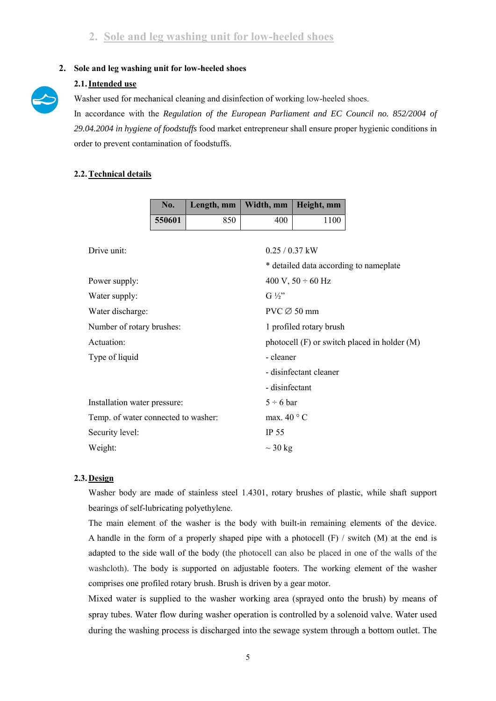### **2. Sole and leg washing unit for low-heeled shoes**



### **2.1.Intended use**

Washer used for mechanical cleaning and disinfection of working low-heeled shoes.

In accordance with the *Regulation of the European Parliament and EC Council no. 852/2004 of 29.04.2004 in hygiene of foodstuffs* food market entrepreneur shall ensure proper hygienic conditions in order to prevent contamination of foodstuffs.

### **2.2.Technical details**

|                              | No.                                 | Length, mm | Width, mm        | Height, mm              |                                              |  |
|------------------------------|-------------------------------------|------------|------------------|-------------------------|----------------------------------------------|--|
|                              | 550601                              | 850        | 400              | 1100                    |                                              |  |
|                              |                                     |            |                  |                         |                                              |  |
| Drive unit:                  |                                     |            | $0.25 / 0.37$ kW |                         |                                              |  |
|                              |                                     |            |                  |                         | * detailed data according to nameplate       |  |
| Power supply:                |                                     |            |                  | 400 V, $50 \div 60$ Hz  |                                              |  |
| Water supply:                |                                     |            |                  | $G\frac{1}{2}$          |                                              |  |
|                              | Water discharge:                    |            |                  | $PVC \oslash 50$ mm     |                                              |  |
|                              | Number of rotary brushes:           |            |                  | 1 profiled rotary brush |                                              |  |
| Actuation:                   |                                     |            |                  |                         | photocell (F) or switch placed in holder (M) |  |
| Type of liquid               |                                     |            | - cleaner        |                         |                                              |  |
|                              |                                     |            |                  | - disinfectant cleaner  |                                              |  |
|                              |                                     |            | - disinfectant   |                         |                                              |  |
| Installation water pressure: |                                     |            | $5 \div 6$ bar   |                         |                                              |  |
|                              | Temp. of water connected to washer: |            |                  | max. $40^{\circ}$ C     |                                              |  |
| Security level:              |                                     |            |                  | IP 55                   |                                              |  |
| Weight:                      |                                     |            |                  | $\sim$ 30 kg            |                                              |  |

### **2.3. Design**

Washer body are made of stainless steel 1.4301, rotary brushes of plastic, while shaft support bearings of self-lubricating polyethylene.

The main element of the washer is the body with built-in remaining elements of the device. A handle in the form of a properly shaped pipe with a photocell  $(F)$  / switch  $(M)$  at the end is adapted to the side wall of the body (the photocell can also be placed in one of the walls of the washcloth). The body is supported on adjustable footers. The working element of the washer comprises one profiled rotary brush. Brush is driven by a gear motor.

Mixed water is supplied to the washer working area (sprayed onto the brush) by means of spray tubes. Water flow during washer operation is controlled by a solenoid valve. Water used during the washing process is discharged into the sewage system through a bottom outlet. The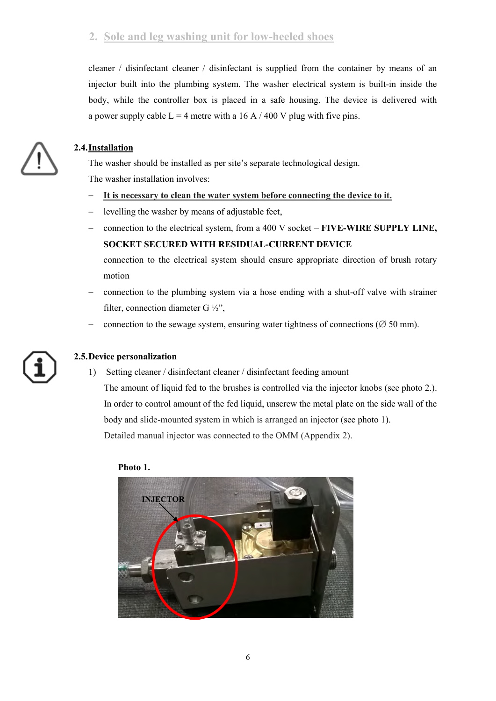# **2. Sole and leg washing unit for low-heeled shoes**

cleaner / disinfectant cleaner / disinfectant is supplied from the container by means of an injector built into the plumbing system. The washer electrical system is built-in inside the body, while the controller box is placed in a safe housing. The device is delivered with a power supply cable  $L = 4$  metre with a 16 A / 400 V plug with five pins.



### **2.4.Installation**

The washer should be installed as per site's separate technological design. The washer installation involves:

- **It is necessary to clean the water system before connecting the device to it.**
- levelling the washer by means of adjustable feet,
- connection to the electrical system, from a 400 V socket **FIVE-WIRE SUPPLY LINE, SOCKET SECURED WITH RESIDUAL-CURRENT DEVICE**
	- connection to the electrical system should ensure appropriate direction of brush rotary motion
- connection to the plumbing system via a hose ending with a shut-off valve with strainer filter, connection diameter G ½",
- connection to the sewage system, ensuring water tightness of connections ( $\varnothing$  50 mm).

### **2.5.Device personalization**

1) Setting cleaner / disinfectant cleaner / disinfectant feeding amount The amount of liquid fed to the brushes is controlled via the injector knobs (see photo 2.). In order to control amount of the fed liquid, unscrew the metal plate on the side wall of the body and slide-mounted system in which is arranged an injector (see photo 1). Detailed manual injector was connected to the OMM (Appendix 2).

**Photo 1.** 

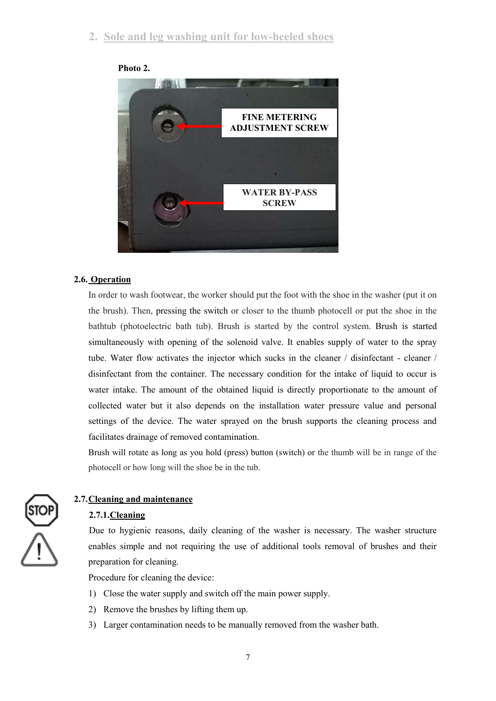

### **Photo 2.**

### **2.6. Operation**

In order to wash footwear, the worker should put the foot with the shoe in the washer (put it on the brush). Then, pressing the switch or closer to the thumb photocell or put the shoe in the bathtub (photoelectric bath tub). Brush is started by the control system. Brush is started simultaneously with opening of the solenoid valve. It enables supply of water to the spray tube. Water flow activates the injector which sucks in the cleaner / disinfectant - cleaner / disinfectant from the container. The necessary condition for the intake of liquid to occur is water intake. The amount of the obtained liquid is directly proportionate to the amount of collected water but it also depends on the installation water pressure value and personal settings of the device. The water sprayed on the brush supports the cleaning process and facilitates drainage of removed contamination.

Brush will rotate as long as you hold (press) button (switch) or the thumb will be in range of the photocell or how long will the shoe be in the tub.



### **2.7.Cleaning and maintenance**

### **2.7.1.Cleaning**

Due to hygienic reasons, daily cleaning of the washer is necessary. The washer structure enables simple and not requiring the use of additional tools removal of brushes and their preparation for cleaning.

Procedure for cleaning the device:

- 1) Close the water supply and switch off the main power supply.
- 2) Remove the brushes by lifting them up.
- 3) Larger contamination needs to be manually removed from the washer bath.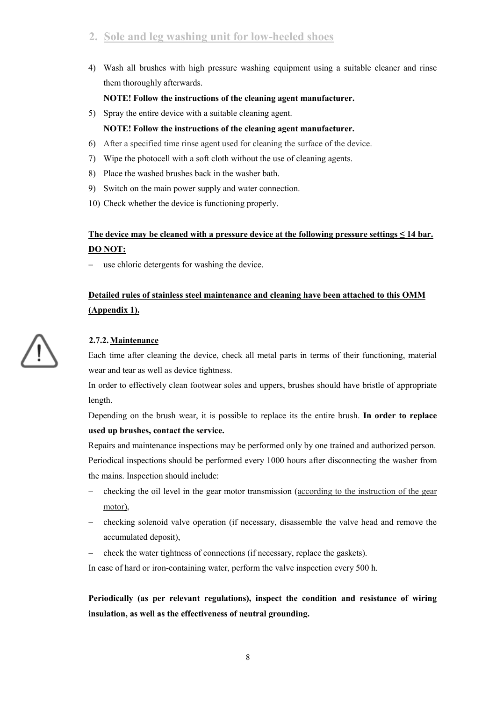# **2. Sole and leg washing unit for low-heeled shoes**

4) Wash all brushes with high pressure washing equipment using a suitable cleaner and rinse them thoroughly afterwards.

### **NOTE! Follow the instructions of the cleaning agent manufacturer.**

5) Spray the entire device with a suitable cleaning agent.

### **NOTE! Follow the instructions of the cleaning agent manufacturer.**

- 6) After a specified time rinse agent used for cleaning the surface of the device.
- 7) Wipe the photocell with a soft cloth without the use of cleaning agents.
- 8) Place the washed brushes back in the washer bath.
- 9) Switch on the main power supply and water connection.
- 10) Check whether the device is functioning properly.

# **The device may be cleaned with a pressure device at the following pressure settings ≤ 14 bar. DO NOT:**

use chloric detergents for washing the device.

# **Detailed rules of stainless steel maintenance and cleaning have been attached to this OMM (Appendix 1).**

# **2.7.2.Maintenance**

Each time after cleaning the device, check all metal parts in terms of their functioning, material wear and tear as well as device tightness.

In order to effectively clean footwear soles and uppers, brushes should have bristle of appropriate length.

Depending on the brush wear, it is possible to replace its the entire brush. **In order to replace used up brushes, contact the service.** 

Repairs and maintenance inspections may be performed only by one trained and authorized person. Periodical inspections should be performed every 1000 hours after disconnecting the washer from the mains. Inspection should include:

- checking the oil level in the gear motor transmission (according to the instruction of the gear motor),
- checking solenoid valve operation (if necessary, disassemble the valve head and remove the accumulated deposit),
- check the water tightness of connections (if necessary, replace the gaskets).

In case of hard or iron-containing water, perform the valve inspection every 500 h.

**Periodically (as per relevant regulations), inspect the condition and resistance of wiring insulation, as well as the effectiveness of neutral grounding.** 

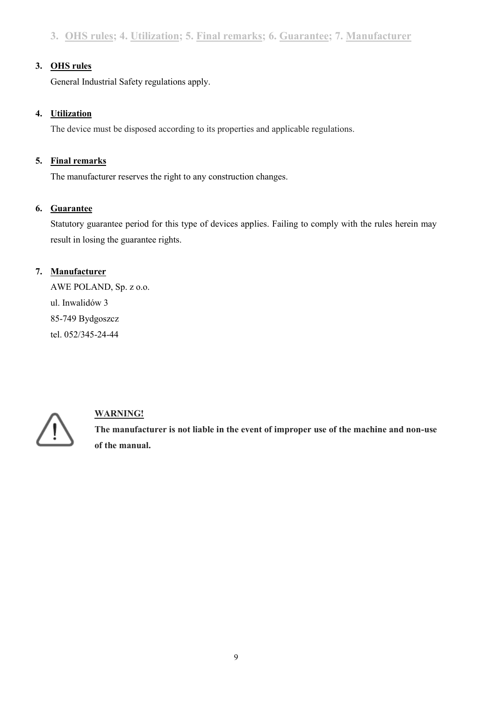### **3. OHS rules**

General Industrial Safety regulations apply.

### **4. Utilization**

The device must be disposed according to its properties and applicable regulations.

### **5. Final remarks**

The manufacturer reserves the right to any construction changes.

### **6. Guarantee**

Statutory guarantee period for this type of devices applies. Failing to comply with the rules herein may result in losing the guarantee rights.

## **7. Manufacturer**

AWE POLAND, Sp. z o.o. ul. Inwalidów 3 85-749 Bydgoszcz tel. 052/345-24-44



# **WARNING!**

**The manufacturer is not liable in the event of improper use of the machine and non-use of the manual.**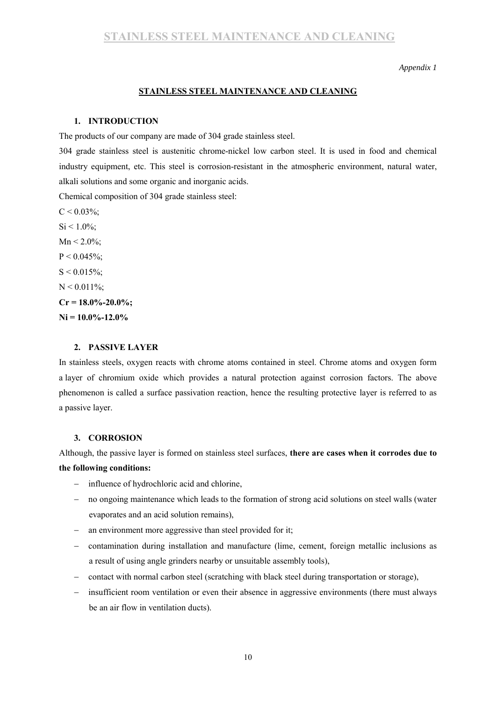#### *Appendix 1*

### **STAINLESS STEEL MAINTENANCE AND CLEANING**

#### **1. INTRODUCTION**

The products of our company are made of 304 grade stainless steel.

304 grade stainless steel is austenitic chrome-nickel low carbon steel. It is used in food and chemical industry equipment, etc. This steel is corrosion-resistant in the atmospheric environment, natural water, alkali solutions and some organic and inorganic acids.

Chemical composition of 304 grade stainless steel:

 $C < 0.03\%$  $C < 0.03\%$ ;  $Si < 1.0\%$  $Si < 1.0\%$ :  $Mn < 2.0\%$  $Mn < 2.0\%$ ;  $P < 0.045\%$  $P < 0.045\%$ ;  $S < 0.015\%$  $S < 0.015\%$ ;  $N < 0.011\%$  $N < 0.011\%$ ;  $Cr = 18.0\% - 20.0\%$  $Cr = 18.0\% - 20.0\%$ ; **[Ni](https://pl.wikipedia.org/wiki/Nikiel) = 10.0%-12.0%** 

### **2. PASSIVE LAYER**

In stainless steels, oxygen reacts with chrome atoms contained in steel. Chrome atoms and oxygen form a layer of chromium oxide which provides a natural protection against corrosion factors. The above phenomenon is called a surface passivation reaction, hence the resulting protective layer is referred to as a passive layer.

### **3. CORROSION**

Although, the passive layer is formed on stainless steel surfaces, **there are cases when it corrodes due to the following conditions:** 

- influence of hydrochloric acid and chlorine,
- no ongoing maintenance which leads to the formation of strong acid solutions on steel walls (water evaporates and an acid solution remains),
- an environment more aggressive than steel provided for it;
- contamination during installation and manufacture (lime, cement, foreign metallic inclusions as a result of using angle grinders nearby or unsuitable assembly tools),
- contact with normal carbon steel (scratching with black steel during transportation or storage),
- insufficient room ventilation or even their absence in aggressive environments (there must always be an air flow in ventilation ducts).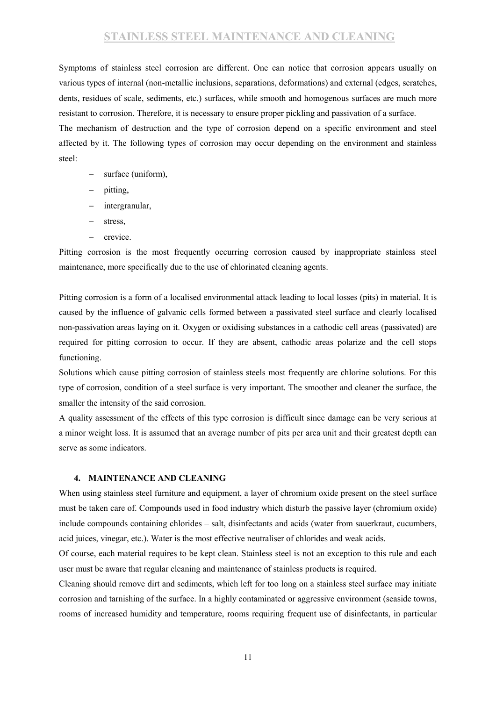# **STAINLESS STEEL MAINTENANCE AND CLEANING**

Symptoms of stainless steel corrosion are different. One can notice that corrosion appears usually on various types of internal (non-metallic inclusions, separations, deformations) and external (edges, scratches, dents, residues of scale, sediments, etc.) surfaces, while smooth and homogenous surfaces are much more resistant to corrosion. Therefore, it is necessary to ensure proper pickling and passivation of a surface.

The mechanism of destruction and the type of corrosion depend on a specific environment and steel affected by it. The following types of corrosion may occur depending on the environment and stainless steel:

- surface (uniform),
- pitting,
- intergranular,
- stress,
- $-$  crevice.

Pitting corrosion is the most frequently occurring corrosion caused by inappropriate stainless steel maintenance, more specifically due to the use of chlorinated cleaning agents.

Pitting corrosion is a form of a localised environmental attack leading to local losses (pits) in material. It is caused by the influence of galvanic cells formed between a passivated steel surface and clearly localised non-passivation areas laying on it. Oxygen or oxidising substances in a cathodic cell areas (passivated) are required for pitting corrosion to occur. If they are absent, cathodic areas polarize and the cell stops functioning.

Solutions which cause pitting corrosion of stainless steels most frequently are chlorine solutions. For this type of corrosion, condition of a steel surface is very important. The smoother and cleaner the surface, the smaller the intensity of the said corrosion.

A quality assessment of the effects of this type corrosion is difficult since damage can be very serious at a minor weight loss. It is assumed that an average number of pits per area unit and their greatest depth can serve as some indicators.

### **4. MAINTENANCE AND CLEANING**

When using stainless steel furniture and equipment, a layer of chromium oxide present on the steel surface must be taken care of. Compounds used in food industry which disturb the passive layer (chromium oxide) include compounds containing chlorides – salt, disinfectants and acids (water from sauerkraut, cucumbers, acid juices, vinegar, etc.). Water is the most effective neutraliser of chlorides and weak acids.

Of course, each material requires to be kept clean. Stainless steel is not an exception to this rule and each user must be aware that regular cleaning and maintenance of stainless products is required.

Cleaning should remove dirt and sediments, which left for too long on a stainless steel surface may initiate corrosion and tarnishing of the surface. In a highly contaminated or aggressive environment (seaside towns, rooms of increased humidity and temperature, rooms requiring frequent use of disinfectants, in particular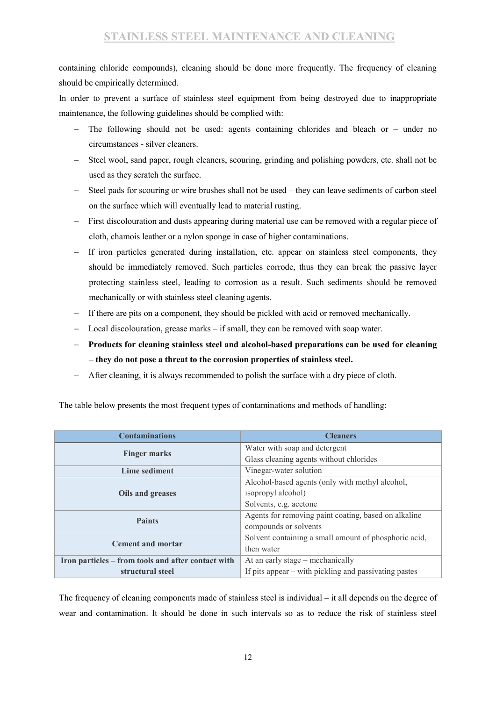containing chloride compounds), cleaning should be done more frequently. The frequency of cleaning should be empirically determined.

In order to prevent a surface of stainless steel equipment from being destroyed due to inappropriate maintenance, the following guidelines should be complied with:

- The following should not be used: agents containing chlorides and bleach or under no circumstances - silver cleaners.
- Steel wool, sand paper, rough cleaners, scouring, grinding and polishing powders, etc. shall not be used as they scratch the surface.
- Steel pads for scouring or wire brushes shall not be used they can leave sediments of carbon steel on the surface which will eventually lead to material rusting.
- First discolouration and dusts appearing during material use can be removed with a regular piece of cloth, chamois leather or a nylon sponge in case of higher contaminations.
- If iron particles generated during installation, etc. appear on stainless steel components, they should be immediately removed. Such particles corrode, thus they can break the passive layer protecting stainless steel, leading to corrosion as a result. Such sediments should be removed mechanically or with stainless steel cleaning agents.
- If there are pits on a component, they should be pickled with acid or removed mechanically.
- Local discolouration, grease marks if small, they can be removed with soap water.
- **Products for cleaning stainless steel and alcohol-based preparations can be used for cleaning – they do not pose a threat to the corrosion properties of stainless steel.**
- After cleaning, it is always recommended to polish the surface with a dry piece of cloth.

| <b>Contaminations</b>                              | <b>Cleaners</b>                                         |  |
|----------------------------------------------------|---------------------------------------------------------|--|
|                                                    | Water with soap and detergent                           |  |
| <b>Finger marks</b>                                | Glass cleaning agents without chlorides                 |  |
| Lime sediment                                      | Vinegar-water solution                                  |  |
|                                                    | Alcohol-based agents (only with methyl alcohol,         |  |
| Oils and greases                                   | isopropyl alcohol)                                      |  |
|                                                    | Solvents, e.g. acetone                                  |  |
| <b>Paints</b>                                      | Agents for removing paint coating, based on alkaline    |  |
|                                                    | compounds or solvents                                   |  |
| <b>Cement and mortar</b>                           | Solvent containing a small amount of phosphoric acid,   |  |
|                                                    | then water                                              |  |
| Iron particles – from tools and after contact with | At an early stage – mechanically                        |  |
| structural steel                                   | If pits appear $-$ with pickling and passivating pastes |  |

The table below presents the most frequent types of contaminations and methods of handling:

The frequency of cleaning components made of stainless steel is individual – it all depends on the degree of wear and contamination. It should be done in such intervals so as to reduce the risk of stainless steel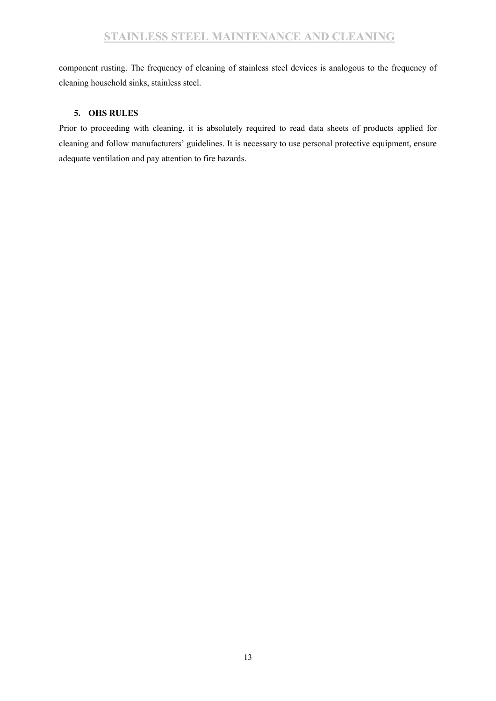component rusting. The frequency of cleaning of stainless steel devices is analogous to the frequency of cleaning household sinks, stainless steel.

### **5. OHS RULES**

Prior to proceeding with cleaning, it is absolutely required to read data sheets of products applied for cleaning and follow manufacturers' guidelines. It is necessary to use personal protective equipment, ensure adequate ventilation and pay attention to fire hazards.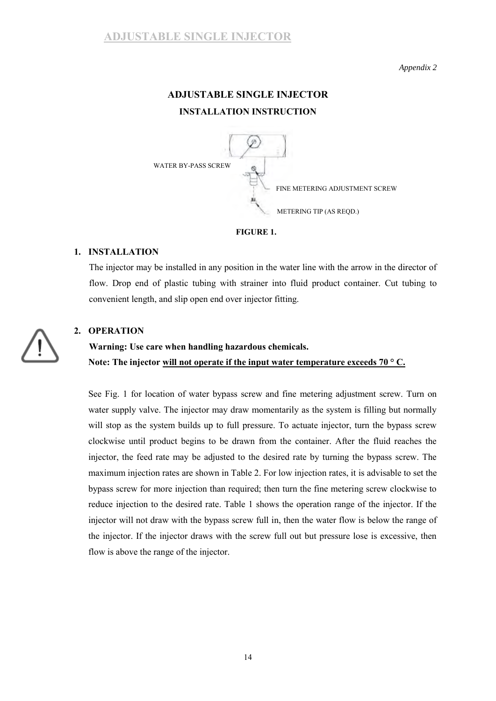### *Appendix 2*

# **ADJUSTABLE SINGLE INJECTOR INSTALLATION INSTRUCTION**



### **FIGURE 1.**

### **1. INSTALLATION**

The injector may be installed in any position in the water line with the arrow in the director of flow. Drop end of plastic tubing with strainer into fluid product container. Cut tubing to convenient length, and slip open end over injector fitting.

### **2. OPERATION**

# **Warning: Use care when handling hazardous chemicals. Note: The injector will not operate if the input water temperature exceeds 70 ° C.**

See Fig. 1 for location of water bypass screw and fine metering adjustment screw. Turn on water supply valve. The injector may draw momentarily as the system is filling but normally will stop as the system builds up to full pressure. To actuate injector, turn the bypass screw clockwise until product begins to be drawn from the container. After the fluid reaches the injector, the feed rate may be adjusted to the desired rate by turning the bypass screw. The maximum injection rates are shown in Table 2. For low injection rates, it is advisable to set the bypass screw for more injection than required; then turn the fine metering screw clockwise to reduce injection to the desired rate. Table 1 shows the operation range of the injector. If the injector will not draw with the bypass screw full in, then the water flow is below the range of the injector. If the injector draws with the screw full out but pressure lose is excessive, then flow is above the range of the injector.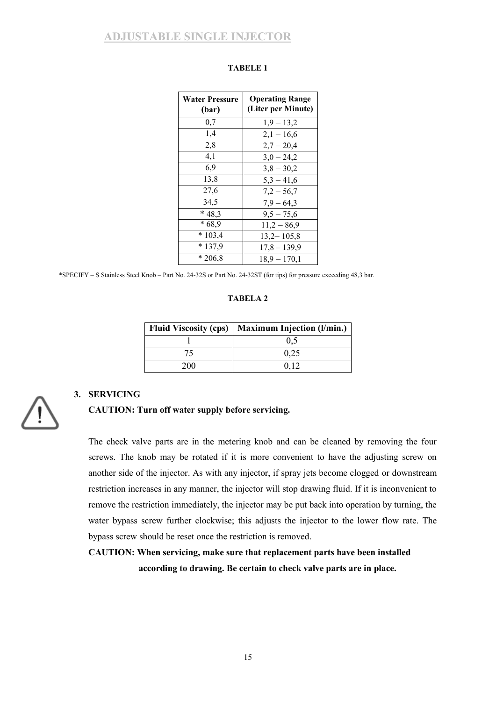# **ADJUSTABLE SINGLE INJECTOR**

| <b>Water Pressure</b><br>(bar) | <b>Operating Range</b><br>(Liter per Minute) |
|--------------------------------|----------------------------------------------|
| 0,7                            | $1,9-13,2$                                   |
| 1,4                            | $2,1 - 16,6$                                 |
| 2,8                            | $2,7 - 20,4$                                 |
| 4,1                            | $3,0 - 24,2$                                 |
| 6.9                            | $3,8 - 30,2$                                 |
| 13,8                           | $5,3 - 41,6$                                 |
| 27,6                           | $7,2 - 56,7$                                 |
| 34,5                           | $7,9-64,3$                                   |
| $*48,3$                        | $9,5 - 75,6$                                 |
| $*68,9$                        | $11,2 - 86,9$                                |
| $*103,4$                       | $13,2 - 105,8$                               |
| $*137,9$                       | $17,8 - 139,9$                               |
| $*206,8$                       | $18,9 - 170,1$                               |

#### **TABELE 1**

\*SPECIFY – S Stainless Steel Knob – Part No. 24-32S or Part No. 24-32ST (for tips) for pressure exceeding 48,3 bar.

### **TABELA 2**

|      | Fluid Viscosity (cps)   Maximum Injection (l/min.) |
|------|----------------------------------------------------|
|      | 0.5                                                |
|      | 0.25                                               |
| 200. | 0.12                                               |

### **3. SERVICING**



### **CAUTION: Turn off water supply before servicing.**

The check valve parts are in the metering knob and can be cleaned by removing the four screws. The knob may be rotated if it is more convenient to have the adjusting screw on another side of the injector. As with any injector, if spray jets become clogged or downstream restriction increases in any manner, the injector will stop drawing fluid. If it is inconvenient to remove the restriction immediately, the injector may be put back into operation by turning, the water bypass screw further clockwise; this adjusts the injector to the lower flow rate. The bypass screw should be reset once the restriction is removed.

# **CAUTION: When servicing, make sure that replacement parts have been installed according to drawing. Be certain to check valve parts are in place.**